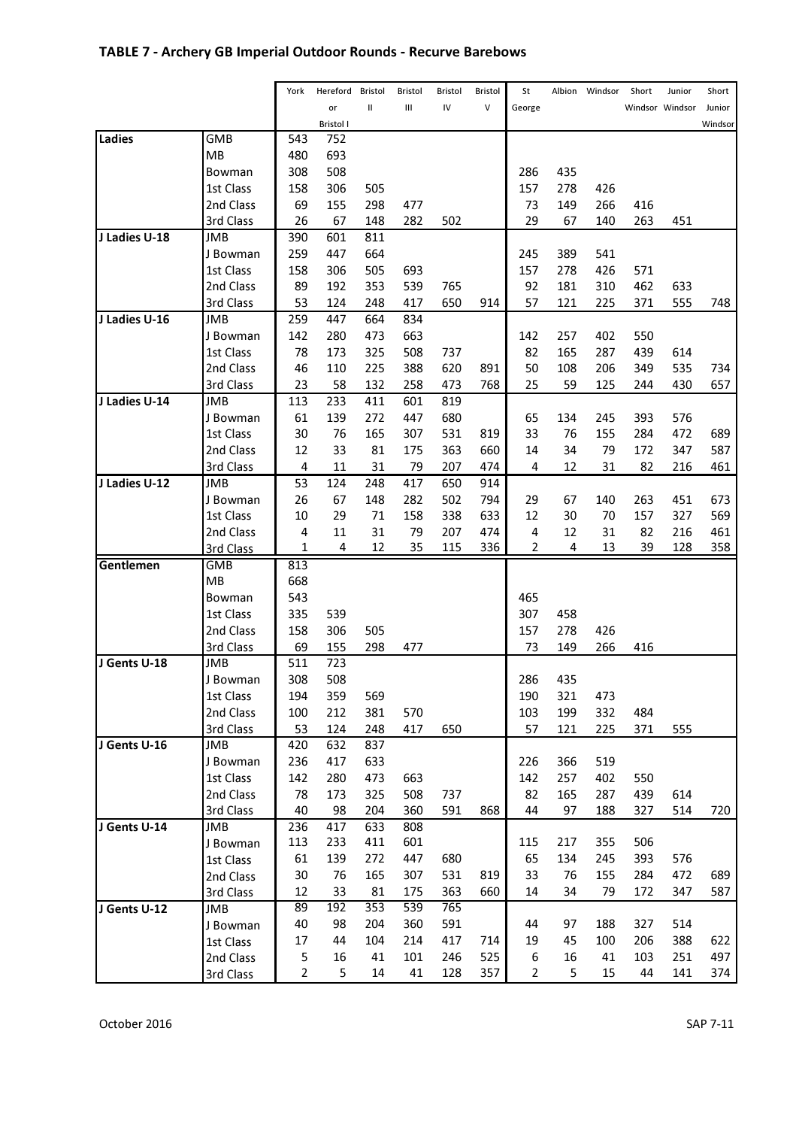# TABLE 7 - Archery GB Imperial Outdoor Rounds - Recurve Barebows

|               |                 | York           | Hereford   | Bristol      | Bristol | Bristol | Bristol | St             |            | Albion Windsor | Short | Junior          | Short   |
|---------------|-----------------|----------------|------------|--------------|---------|---------|---------|----------------|------------|----------------|-------|-----------------|---------|
|               |                 |                | or         | $\mathbf{I}$ | Ш       | IV      | V       | George         |            |                |       | Windsor Windsor | Junior  |
|               |                 |                | Bristol I  |              |         |         |         |                |            |                |       |                 | Windsor |
| Ladies        | <b>GMB</b>      | 543            | 752        |              |         |         |         |                |            |                |       |                 |         |
|               | MB              | 480            | 693        |              |         |         |         |                |            |                |       |                 |         |
|               | Bowman          | 308            | 508        |              |         |         |         | 286            | 435        |                |       |                 |         |
|               | 1st Class       | 158            | 306        | 505          |         |         |         | 157            | 278        | 426            |       |                 |         |
|               | 2nd Class       | 69             | 155        | 298          | 477     |         |         | 73             | 149        | 266            | 416   |                 |         |
|               | 3rd Class       | 26             | 67         | 148          | 282     | 502     |         | 29             | 67         | 140            | 263   | 451             |         |
| J Ladies U-18 | JMB             | 390            | 601        | 811          |         |         |         |                |            |                |       |                 |         |
|               | J Bowman        | 259            | 447        | 664          |         |         |         | 245            | 389        | 541            |       |                 |         |
|               | 1st Class       | 158            | 306        | 505          | 693     |         |         | 157            | 278        | 426            | 571   |                 |         |
|               | 2nd Class       | 89             | 192        | 353          | 539     | 765     |         | 92             | 181        | 310            | 462   | 633             |         |
|               | 3rd Class       | 53             | 124        | 248          | 417     | 650     | 914     | 57             | 121        | 225            | 371   | 555             | 748     |
| J Ladies U-16 | <b>JMB</b>      | 259            | 447        | 664          | 834     |         |         |                |            |                |       |                 |         |
|               | J Bowman        | 142            | 280        | 473          | 663     |         |         | 142            | 257        | 402            | 550   |                 |         |
|               | 1st Class       | 78             | 173        | 325          | 508     | 737     |         | 82             | 165        | 287            | 439   | 614             |         |
|               | 2nd Class       | 46             | 110        | 225          | 388     | 620     | 891     | 50             | 108        | 206            | 349   | 535             | 734     |
|               | 3rd Class       | 23             | 58         | 132          | 258     | 473     | 768     | 25             | 59         | 125            | 244   | 430             | 657     |
| J Ladies U-14 | <b>JMB</b>      | 113            | 233        | 411          | 601     | 819     |         |                |            |                |       |                 |         |
|               | J Bowman        | 61             | 139        | 272          | 447     | 680     |         | 65             | 134        | 245            | 393   | 576             |         |
|               | 1st Class       | 30             | 76         | 165          | 307     | 531     | 819     | 33             | 76         | 155            | 284   | 472             | 689     |
|               | 2nd Class       | 12             | 33         | 81           | 175     | 363     | 660     | 14             | 34         | 79             | 172   | 347             | 587     |
|               | 3rd Class       | 4              | 11         | 31           | 79      | 207     | 474     | 4              | 12         | 31             | 82    | 216             | 461     |
| J Ladies U-12 | <b>JMB</b>      | 53             | 124        | 248          | 417     | 650     | 914     |                |            |                |       |                 |         |
|               | J Bowman        | 26             | 67         | 148          | 282     | 502     | 794     | 29             | 67         | 140            | 263   | 451             | 673     |
|               | 1st Class       | 10             | 29         | 71           | 158     | 338     | 633     | 12             | 30         | 70             | 157   | 327             | 569     |
|               | 2nd Class       | 4              | 11         | 31           | 79      | 207     | 474     | 4              | 12         | 31             | 82    | 216             | 461     |
|               | 3rd Class       | $\mathbf{1}$   | 4          | 12           | 35      | 115     | 336     | $\overline{2}$ | 4          | 13             | 39    | 128             | 358     |
| Gentlemen     | <b>GMB</b>      | 813            |            |              |         |         |         |                |            |                |       |                 |         |
|               | MB              | 668            |            |              |         |         |         |                |            |                |       |                 |         |
|               | Bowman          | 543            |            |              |         |         |         | 465            |            |                |       |                 |         |
|               | 1st Class       | 335            | 539        |              |         |         |         | 307            | 458        |                |       |                 |         |
|               | 2nd Class       | 158            | 306        | 505          |         |         |         | 157            | 278        | 426            |       |                 |         |
|               | 3rd Class       | 69             | 155        | 298          | 477     |         |         | 73             | 149        | 266            | 416   |                 |         |
| J Gents U-18  | <b>JMB</b>      | 511            | 723        |              |         |         |         |                |            |                |       |                 |         |
|               | J Bowman        | 308<br>194     | 508        | 569          |         |         |         | 286<br>190     | 435<br>321 | 473            |       |                 |         |
|               | 1st Class       |                | 359        |              |         |         |         |                |            |                |       |                 |         |
|               | 2nd Class       | 100            | 212        | 381          | 570     |         |         | 103            | 199        | 332            | 484   |                 |         |
| J Gents U-16  | 3rd Class       | 53             | 124        | 248<br>837   | 417     | 650     |         | 57             | 121        | 225            | 371   | 555             |         |
|               | JMB<br>J Bowman | 420<br>236     | 632<br>417 | 633          |         |         |         | 226            | 366        | 519            |       |                 |         |
|               | 1st Class       | 142            | 280        | 473          | 663     |         |         | 142            | 257        | 402            | 550   |                 |         |
|               | 2nd Class       | 78             | 173        | 325          | 508     | 737     |         | 82             | 165        | 287            | 439   | 614             |         |
|               | 3rd Class       | 40             | 98         | 204          | 360     | 591     | 868     | 44             | 97         | 188            | 327   | 514             | 720     |
| J Gents U-14  | <b>JMB</b>      | 236            | 417        | 633          | 808     |         |         |                |            |                |       |                 |         |
|               | J Bowman        | 113            | 233        | 411          | 601     |         |         | 115            | 217        | 355            | 506   |                 |         |
|               | 1st Class       | 61             | 139        | 272          | 447     | 680     |         | 65             | 134        | 245            | 393   | 576             |         |
|               | 2nd Class       | 30             | 76         | 165          | 307     | 531     | 819     | 33             | 76         | 155            | 284   | 472             | 689     |
|               | 3rd Class       | 12             | 33         | 81           | 175     | 363     | 660     | 14             | 34         | 79             | 172   | 347             | 587     |
| J Gents U-12  | <b>JMB</b>      | 89             | 192        | 353          | 539     | 765     |         |                |            |                |       |                 |         |
|               | J Bowman        | 40             | 98         | 204          | 360     | 591     |         | 44             | 97         | 188            | 327   | 514             |         |
|               | 1st Class       | 17             | 44         | 104          | 214     | 417     | 714     | 19             | 45         | 100            | 206   | 388             | 622     |
|               | 2nd Class       | 5              | 16         | 41           | 101     | 246     | 525     | 6              | 16         | 41             | 103   | 251             | 497     |
|               | 3rd Class       | $\overline{2}$ | 5          | 14           | 41      | 128     | 357     | 2              | 5          | 15             | 44    | 141             | 374     |
|               |                 |                |            |              |         |         |         |                |            |                |       |                 |         |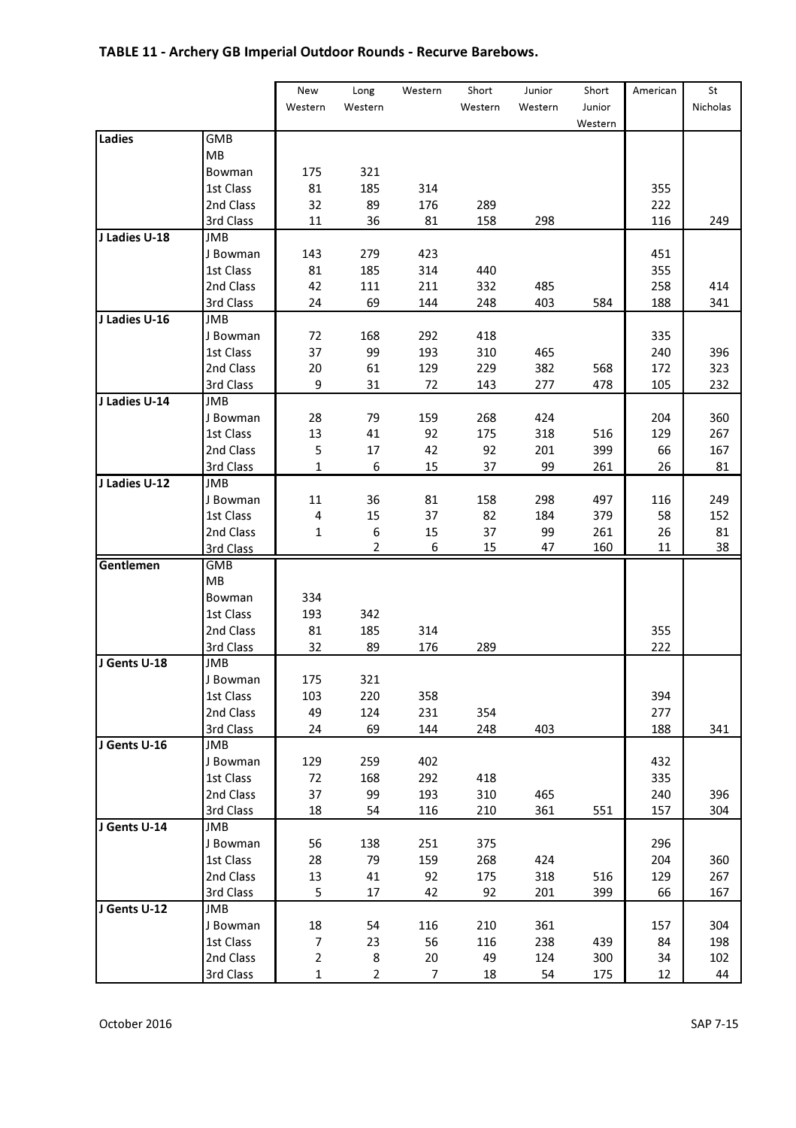# TABLE 11 - Archery GB Imperial Outdoor Rounds - Recurve Barebows.

|               |            | New          | Long           | Western | Short   | Junior  | Short   | American | St       |
|---------------|------------|--------------|----------------|---------|---------|---------|---------|----------|----------|
|               |            | Western      | Western        |         | Western | Western | Junior  |          | Nicholas |
|               |            |              |                |         |         |         | Western |          |          |
| Ladies        | GMB        |              |                |         |         |         |         |          |          |
|               | MB         |              |                |         |         |         |         |          |          |
|               | Bowman     | 175          | 321            |         |         |         |         |          |          |
|               | 1st Class  | 81           | 185            | 314     |         |         |         | 355      |          |
|               | 2nd Class  | 32           | 89             | 176     | 289     |         |         | 222      |          |
|               | 3rd Class  | 11           | 36             | 81      | 158     | 298     |         | 116      | 249      |
| J Ladies U-18 | JMB        |              |                |         |         |         |         |          |          |
|               | J Bowman   | 143          | 279            | 423     |         |         |         | 451      |          |
|               | 1st Class  | 81           | 185            | 314     | 440     |         |         | 355      |          |
|               | 2nd Class  | 42           | 111            | 211     | 332     | 485     |         | 258      | 414      |
|               | 3rd Class  | 24           | 69             | 144     | 248     | 403     | 584     | 188      | 341      |
| J Ladies U-16 | JMB        |              |                |         |         |         |         |          |          |
|               | J Bowman   | 72           | 168            | 292     | 418     |         |         | 335      |          |
|               | 1st Class  | 37           | 99             | 193     | 310     | 465     |         | 240      | 396      |
|               | 2nd Class  | 20           | 61             | 129     | 229     | 382     | 568     | 172      | 323      |
|               | 3rd Class  | 9            | 31             | 72      | 143     | 277     | 478     | 105      | 232      |
| J Ladies U-14 | JMB        |              |                |         |         |         |         |          |          |
|               | J Bowman   | 28           | 79             | 159     | 268     | 424     |         | 204      | 360      |
|               | 1st Class  | 13           | 41             | 92      | 175     | 318     | 516     | 129      | 267      |
|               | 2nd Class  | 5            | 17             | 42      | 92      | 201     | 399     | 66       | 167      |
|               | 3rd Class  | 1            | 6              | 15      | 37      | 99      | 261     | 26       | 81       |
| J Ladies U-12 | JMB        |              |                |         |         |         |         |          |          |
|               | J Bowman   | 11           | 36             | 81      | 158     | 298     | 497     | 116      | 249      |
|               | 1st Class  | 4            | 15             | 37      | 82      | 184     | 379     | 58       | 152      |
|               | 2nd Class  | 1            | 6              | 15      | 37      | 99      | 261     | 26       | 81       |
|               | 3rd Class  |              | 2              | 6       | 15      | 47      | 160     | 11       | 38       |
| Gentlemen     | GMB        |              |                |         |         |         |         |          |          |
|               | MB         |              |                |         |         |         |         |          |          |
|               | Bowman     | 334          |                |         |         |         |         |          |          |
|               | 1st Class  | 193          | 342            |         |         |         |         |          |          |
|               | 2nd Class  | 81           | 185            | 314     |         |         |         | 355      |          |
|               | 3rd Class  | 32           | 89             | 176     | 289     |         |         | 222      |          |
| J Gents U-18  | <b>JMB</b> |              |                |         |         |         |         |          |          |
|               | J Bowman   | 175          | 321            |         |         |         |         |          |          |
|               | 1st Class  | 103          | 220            | 358     |         |         |         | 394      |          |
|               | 2nd Class  | 49           | 124            | 231     | 354     |         |         | 277      |          |
|               | 3rd Class  | 24           | 69             | 144     | 248     | 403     |         | 188      | 341      |
| J Gents U-16  | <b>JMB</b> |              |                |         |         |         |         |          |          |
|               | J Bowman   | 129          | 259            | 402     |         |         |         | 432      |          |
|               | 1st Class  | 72           | 168            | 292     | 418     |         |         | 335      |          |
|               | 2nd Class  | 37           | 99             | 193     | 310     | 465     |         | 240      | 396      |
|               | 3rd Class  | 18           | 54             | 116     | 210     | 361     | 551     | 157      | 304      |
| J Gents U-14  | <b>JMB</b> |              |                |         |         |         |         |          |          |
|               | J Bowman   | 56           | 138            | 251     | 375     |         |         | 296      |          |
|               | 1st Class  | 28           | 79             | 159     | 268     | 424     |         | 204      | 360      |
|               | 2nd Class  | 13           | 41             | 92      | 175     | 318     | 516     | 129      | 267      |
|               | 3rd Class  | 5            | 17             | 42      | 92      | 201     | 399     | 66       | 167      |
| J Gents U-12  | JMB        |              |                |         |         |         |         |          |          |
|               | J Bowman   | 18           | 54             | 116     | 210     | 361     |         | 157      | 304      |
|               | 1st Class  | 7            | 23             | 56      | 116     | 238     | 439     | 84       | 198      |
|               | 2nd Class  | 2            | 8              | 20      | 49      | 124     | 300     | 34       | 102      |
|               | 3rd Class  | $\mathbf{1}$ | $\overline{2}$ | 7       | 18      | 54      | 175     | 12       | 44       |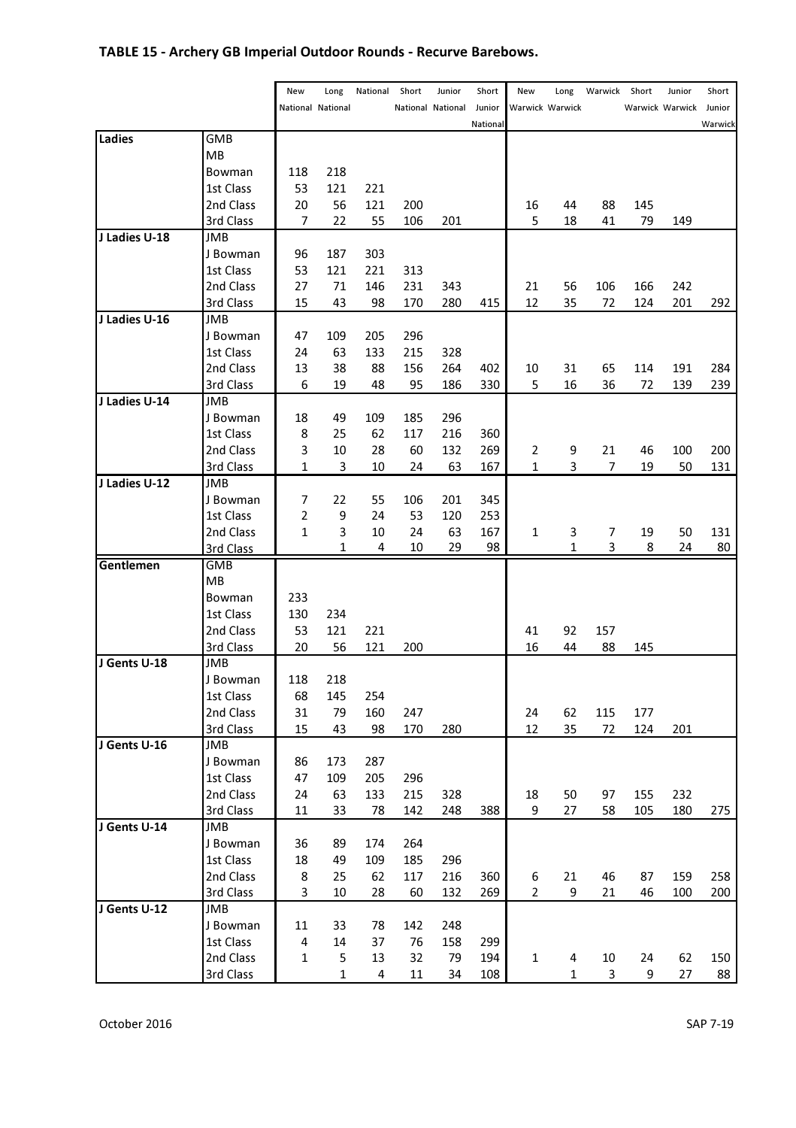# TABLE 15 - Archery GB Imperial Outdoor Rounds - Recurve Barebows.

|               |                        | New            | Long              | National   | Short      | Junior            | Short    | New            | Long            | Warwick | Short | Junior          | Short   |
|---------------|------------------------|----------------|-------------------|------------|------------|-------------------|----------|----------------|-----------------|---------|-------|-----------------|---------|
|               |                        |                | National National |            |            | National National | Junior   |                | Warwick Warwick |         |       | Warwick Warwick | Junior  |
|               |                        |                |                   |            |            |                   | National |                |                 |         |       |                 | Warwick |
| Ladies        | GMB                    |                |                   |            |            |                   |          |                |                 |         |       |                 |         |
|               | MB                     |                |                   |            |            |                   |          |                |                 |         |       |                 |         |
|               | Bowman                 | 118            | 218               |            |            |                   |          |                |                 |         |       |                 |         |
|               | 1st Class              | 53             | 121               | 221        |            |                   |          |                |                 |         |       |                 |         |
|               | 2nd Class              | 20             | 56                | 121        | 200        |                   |          | 16             | 44              | 88      | 145   |                 |         |
|               | 3rd Class              | 7              | 22                | 55         | 106        | 201               |          | 5              | 18              | 41      | 79    | 149             |         |
| J Ladies U-18 | <b>JMB</b>             |                |                   |            |            |                   |          |                |                 |         |       |                 |         |
|               | J Bowman               | 96             | 187               | 303        |            |                   |          |                |                 |         |       |                 |         |
|               | 1st Class              | 53             | 121               | 221        | 313        |                   |          |                |                 |         |       |                 |         |
|               | 2nd Class              | 27             | 71                | 146        | 231        | 343               |          | 21             | 56              | 106     | 166   | 242             |         |
|               | 3rd Class              | 15             | 43                | 98         | 170        | 280               | 415      | 12             | 35              | 72      | 124   | 201             | 292     |
| J Ladies U-16 | <b>JMB</b>             |                |                   |            |            |                   |          |                |                 |         |       |                 |         |
|               | J Bowman               | 47             | 109               | 205        | 296        |                   |          |                |                 |         |       |                 |         |
|               | 1st Class              | 24             | 63                | 133        | 215        | 328               |          |                |                 |         |       |                 |         |
|               | 2nd Class              | 13             | 38                | 88         | 156        | 264               | 402      | 10             | 31              | 65      | 114   | 191             | 284     |
|               | 3rd Class              | 6              | 19                | 48         | 95         | 186               | 330      | 5              | 16              | 36      | 72    | 139             | 239     |
| J Ladies U-14 | JMB                    |                |                   |            |            |                   |          |                |                 |         |       |                 |         |
|               | J Bowman               | 18             | 49                | 109        | 185        | 296               |          |                |                 |         |       |                 |         |
|               | 1st Class              | 8              | 25                | 62         | 117        | 216               | 360      |                |                 |         |       |                 |         |
|               | 2nd Class              | 3              | 10                | 28         | 60         | 132               | 269      | $\overline{2}$ | 9               | 21      | 46    | 100             | 200     |
|               | 3rd Class              | 1              | 3                 | 10         | 24         | 63                | 167      | 1              | 3               | 7       | 19    | 50              | 131     |
| J Ladies U-12 | <b>JMB</b>             |                |                   |            |            |                   |          |                |                 |         |       |                 |         |
|               | J Bowman               | 7              | 22                | 55         | 106        | 201               | 345      |                |                 |         |       |                 |         |
|               | 1st Class              | $\overline{2}$ | 9                 | 24         | 53         | 120               | 253      |                |                 |         |       |                 |         |
|               | 2nd Class              | 1              | 3                 | 10         | 24         | 63                | 167      | $\mathbf{1}$   | 3               | 7       | 19    | 50              | 131     |
|               | 3rd Class              |                | 1                 | 4          | 10         | 29                | 98       |                | $\mathbf{1}$    | 3       | 8     | 24              | 80      |
| Gentlemen     | <b>GMB</b>             |                |                   |            |            |                   |          |                |                 |         |       |                 |         |
|               | MB                     |                |                   |            |            |                   |          |                |                 |         |       |                 |         |
|               | Bowman                 | 233            |                   |            |            |                   |          |                |                 |         |       |                 |         |
|               | 1st Class              | 130            | 234               |            |            |                   |          |                |                 |         |       |                 |         |
|               | 2nd Class              | 53             | 121               | 221        |            |                   |          | 41             | 92              | 157     |       |                 |         |
|               | 3rd Class              | 20             | 56                | 121        | 200        |                   |          | 16             | 44              | 88      | 145   |                 |         |
| J Gents U-18  | JMB                    |                |                   |            |            |                   |          |                |                 |         |       |                 |         |
|               | J Bowman               | 118            | 218               |            |            |                   |          |                |                 |         |       |                 |         |
|               | 1st Class              | 68             | 145               | 254        |            |                   |          |                |                 |         |       |                 |         |
|               | 2nd Class              | 31             | 79                | 160        | 247        |                   |          | 24             | 62              | 115     | 177   |                 |         |
| J Gents U-16  | 3rd Class              | 15             | 43                | 98         | 170        | 280               |          | 12             | 35              | 72      | 124   | 201             |         |
|               | JMB<br>J Bowman        | 86             | 173               | 287        |            |                   |          |                |                 |         |       |                 |         |
|               |                        |                |                   |            |            |                   |          |                |                 |         |       |                 |         |
|               | 1st Class<br>2nd Class | 47<br>24       | 109<br>63         | 205<br>133 | 296<br>215 | 328               |          | 18             | 50              | 97      | 155   | 232             |         |
|               | 3rd Class              | 11             | 33                | 78         | 142        | 248               | 388      | 9              | 27              | 58      | 105   | 180             | 275     |
| J Gents U-14  | JMB                    |                |                   |            |            |                   |          |                |                 |         |       |                 |         |
|               | J Bowman               | 36             | 89                | 174        | 264        |                   |          |                |                 |         |       |                 |         |
|               | 1st Class              | 18             | 49                | 109        | 185        | 296               |          |                |                 |         |       |                 |         |
|               | 2nd Class              | 8              | 25                | 62         | 117        | 216               | 360      | 6              | 21              | 46      | 87    | 159             | 258     |
|               | 3rd Class              | 3              | 10                | 28         | 60         | 132               | 269      | $\overline{2}$ | 9               | 21      | 46    | 100             | 200     |
| J Gents U-12  | JMB                    |                |                   |            |            |                   |          |                |                 |         |       |                 |         |
|               | J Bowman               | 11             | 33                | 78         | 142        | 248               |          |                |                 |         |       |                 |         |
|               | 1st Class              | 4              | 14                | 37         | 76         | 158               | 299      |                |                 |         |       |                 |         |
|               | 2nd Class              | 1              | 5                 | 13         | 32         | 79                | 194      | 1              | 4               | 10      | 24    | 62              | 150     |
|               | 3rd Class              |                | 1                 | 4          | 11         | 34                | 108      |                | 1               | 3       | 9     | 27              | 88      |
|               |                        |                |                   |            |            |                   |          |                |                 |         |       |                 |         |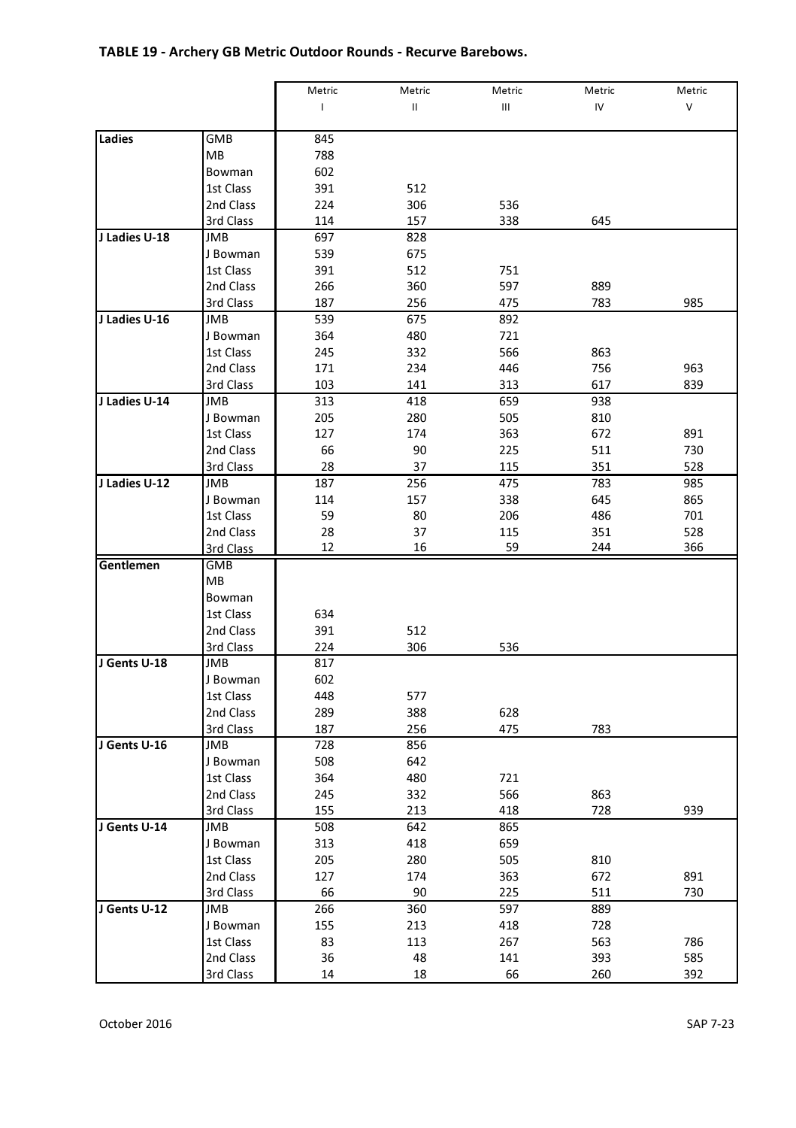### TABLE 19 - Archery GB Metric Outdoor Rounds - Recurve Barebows.

|               |            | Metric | Metric   | Metric | Metric | Metric  |
|---------------|------------|--------|----------|--------|--------|---------|
|               |            | T      | $\sf II$ | Ш      | IV     | $\sf V$ |
|               |            |        |          |        |        |         |
| Ladies        | GMB        | 845    |          |        |        |         |
|               | MB         | 788    |          |        |        |         |
|               | Bowman     | 602    |          |        |        |         |
|               | 1st Class  | 391    | 512      |        |        |         |
|               | 2nd Class  | 224    | 306      | 536    |        |         |
|               | 3rd Class  | 114    | 157      | 338    | 645    |         |
| J Ladies U-18 | JMB        | 697    | 828      |        |        |         |
|               | J Bowman   | 539    | 675      |        |        |         |
|               | 1st Class  | 391    | 512      | 751    |        |         |
|               | 2nd Class  | 266    | 360      | 597    | 889    |         |
|               | 3rd Class  | 187    | 256      | 475    | 783    | 985     |
| J Ladies U-16 | JMB        | 539    | 675      | 892    |        |         |
|               | J Bowman   | 364    | 480      | 721    |        |         |
|               | 1st Class  | 245    | 332      | 566    | 863    |         |
|               | 2nd Class  | 171    | 234      | 446    | 756    | 963     |
|               | 3rd Class  | 103    | 141      | 313    | 617    | 839     |
| J Ladies U-14 | JMB        | 313    | 418      | 659    | 938    |         |
|               | J Bowman   | 205    | 280      | 505    | 810    |         |
|               | 1st Class  | 127    | 174      | 363    | 672    | 891     |
|               | 2nd Class  | 66     | 90       | 225    | 511    | 730     |
|               | 3rd Class  | 28     | 37       | 115    | 351    | 528     |
| J Ladies U-12 | <b>JMB</b> | 187    | 256      | 475    | 783    | 985     |
|               | J Bowman   | 114    | 157      | 338    | 645    | 865     |
|               | 1st Class  | 59     | 80       | 206    | 486    | 701     |
|               | 2nd Class  | 28     | 37       | 115    | 351    | 528     |
|               | 3rd Class  | 12     | 16       | 59     | 244    | 366     |
| Gentlemen     | <b>GMB</b> |        |          |        |        |         |
|               | MB         |        |          |        |        |         |
|               | Bowman     |        |          |        |        |         |
|               | 1st Class  | 634    |          |        |        |         |
|               | 2nd Class  | 391    | 512      |        |        |         |
|               | 3rd Class  | 224    | 306      | 536    |        |         |
| J Gents U-18  | JMB        | 817    |          |        |        |         |
|               | J Bowman   | 602    |          |        |        |         |
|               | 1st Class  | 448    | 577      |        |        |         |
|               | 2nd Class  | 289    | 388      | 628    |        |         |
|               | 3rd Class  | 187    | 256      | 475    | 783    |         |
| J Gents U-16  | <b>JMB</b> | 728    | 856      |        |        |         |
|               | J Bowman   | 508    | 642      |        |        |         |
|               | 1st Class  | 364    | 480      | 721    |        |         |
|               | 2nd Class  | 245    | 332      | 566    | 863    |         |
|               | 3rd Class  | 155    | 213      | 418    | 728    | 939     |
| J Gents U-14  | JMB        | 508    | 642      | 865    |        |         |
|               | J Bowman   | 313    | 418      | 659    |        |         |
|               | 1st Class  | 205    | 280      | 505    | 810    |         |
|               | 2nd Class  | 127    | 174      | 363    | 672    | 891     |
|               | 3rd Class  | 66     | 90       | 225    | 511    | 730     |
| J Gents U-12  | JMB        | 266    | 360      | 597    | 889    |         |
|               | J Bowman   | 155    | 213      | 418    | 728    |         |
|               | 1st Class  | 83     | 113      | 267    | 563    | 786     |
|               | 2nd Class  | 36     | 48       | 141    | 393    | 585     |
|               | 3rd Class  | 14     | 18       | 66     | 260    | 392     |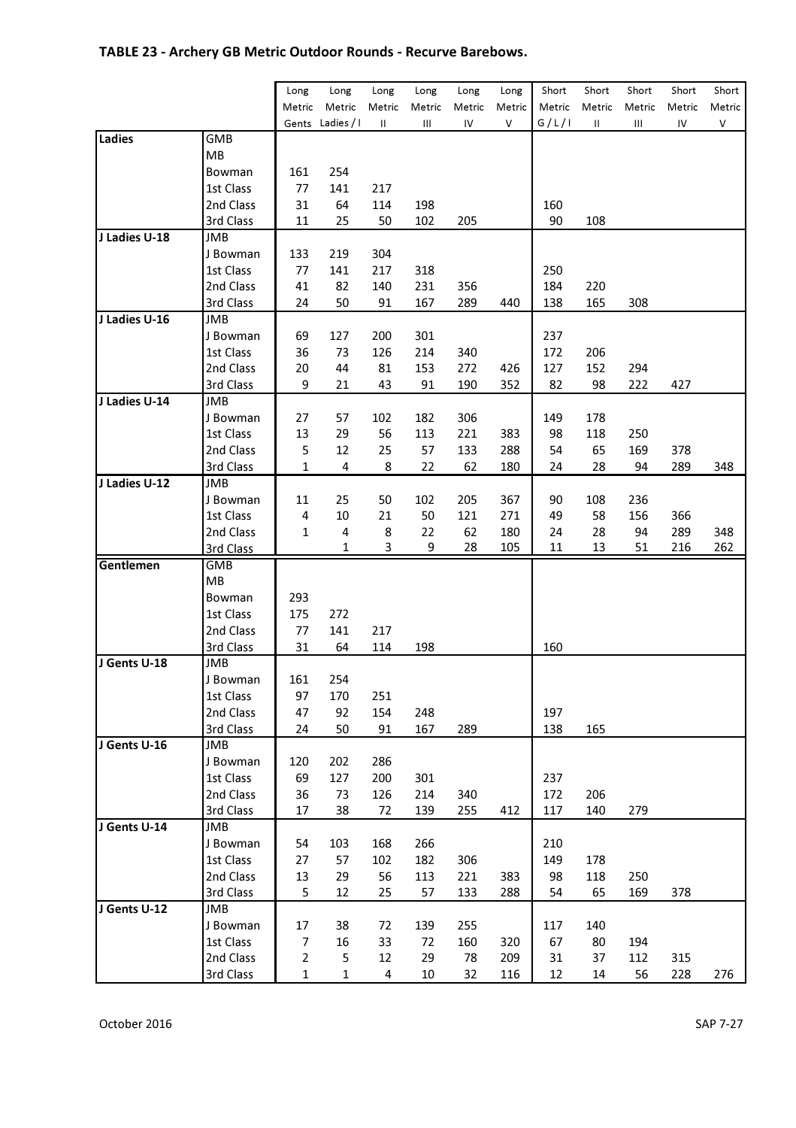## TABLE 23 - Archery GB Metric Outdoor Rounds - Recurve Barebows.

|               |            | Long        | Long       | Long   | Long   | Long   | Long   | Short  | Short  | Short  | Short  | Short  |
|---------------|------------|-------------|------------|--------|--------|--------|--------|--------|--------|--------|--------|--------|
|               |            | Metric      | Metric     | Metric | Metric | Metric | Metric | Metric | Metric | Metric | Metric | Metric |
|               |            | Gents       | Ladies / I | Ш      | Ш      | IV     | V      | G/L/I  | Ш      | Ш      | IV     | ٧      |
| Ladies        | GMB        |             |            |        |        |        |        |        |        |        |        |        |
|               | MВ         |             |            |        |        |        |        |        |        |        |        |        |
|               | Bowman     | 161         | 254        |        |        |        |        |        |        |        |        |        |
|               | 1st Class  | 77          | 141        | 217    |        |        |        |        |        |        |        |        |
|               | 2nd Class  | 31          | 64         | 114    | 198    |        |        | 160    |        |        |        |        |
|               | 3rd Class  | 11          | 25         | 50     | 102    | 205    |        | 90     | 108    |        |        |        |
| J Ladies U-18 | JMB        |             |            |        |        |        |        |        |        |        |        |        |
|               | J Bowman   | 133         | 219        | 304    |        |        |        |        |        |        |        |        |
|               | 1st Class  | 77          | 141        | 217    | 318    |        |        | 250    |        |        |        |        |
|               | 2nd Class  | 41          | 82         | 140    | 231    | 356    |        | 184    | 220    |        |        |        |
|               | 3rd Class  | 24          | 50         | 91     | 167    | 289    | 440    | 138    | 165    | 308    |        |        |
| J Ladies U-16 | JMB        |             |            |        |        |        |        |        |        |        |        |        |
|               | J Bowman   | 69          | 127        | 200    | 301    |        |        | 237    |        |        |        |        |
|               | 1st Class  | 36          | 73         | 126    | 214    | 340    |        | 172    | 206    |        |        |        |
|               | 2nd Class  | 20          | 44         | 81     | 153    | 272    | 426    | 127    | 152    | 294    |        |        |
|               | 3rd Class  | 9           | 21         | 43     | 91     | 190    | 352    | 82     | 98     | 222    | 427    |        |
| J Ladies U-14 | JMB        |             |            |        |        |        |        |        |        |        |        |        |
|               | J Bowman   | 27          | 57         | 102    | 182    | 306    |        | 149    | 178    |        |        |        |
|               | 1st Class  | 13          | 29         | 56     | 113    | 221    | 383    | 98     | 118    | 250    |        |        |
|               | 2nd Class  | 5           | 12         | 25     | 57     | 133    | 288    | 54     | 65     | 169    | 378    |        |
|               | 3rd Class  | 1           | 4          | 8      | 22     | 62     | 180    | 24     | 28     | 94     | 289    | 348    |
| J Ladies U-12 | JMB        |             |            |        |        |        |        |        |        |        |        |        |
|               | J Bowman   | 11          | 25         | 50     | 102    | 205    | 367    | 90     | 108    | 236    |        |        |
|               | 1st Class  | 4           | 10         | 21     | 50     | 121    | 271    | 49     | 58     | 156    | 366    |        |
|               | 2nd Class  | 1           | 4          | 8      | 22     | 62     | 180    | 24     | 28     | 94     | 289    | 348    |
|               | 3rd Class  |             | 1          | 3      | 9      | 28     | 105    | 11     | 13     | 51     | 216    | 262    |
| Gentlemen     | <b>GMB</b> |             |            |        |        |        |        |        |        |        |        |        |
|               | MB         |             |            |        |        |        |        |        |        |        |        |        |
|               | Bowman     | 293         |            |        |        |        |        |        |        |        |        |        |
|               | 1st Class  | 175         | 272        |        |        |        |        |        |        |        |        |        |
|               | 2nd Class  | 77          | 141        | 217    |        |        |        |        |        |        |        |        |
|               | 3rd Class  | 31          | 64         | 114    | 198    |        |        | 160    |        |        |        |        |
| J Gents U-18  | JMB        |             |            |        |        |        |        |        |        |        |        |        |
|               | J Bowman   | 161         | 254        |        |        |        |        |        |        |        |        |        |
|               | 1st Class  | 97          | 170        | 251    |        |        |        |        |        |        |        |        |
|               | 2nd Class  | 47          | 92         | 154    | 248    |        |        | 197    |        |        |        |        |
|               | 3rd Class  | 24          | 50         | 91     | 167    | 289    |        | 138    | 165    |        |        |        |
| J Gents U-16  | JMB        |             |            |        |        |        |        |        |        |        |        |        |
|               | J Bowman   | 120         | 202        | 286    |        |        |        |        |        |        |        |        |
|               | 1st Class  | 69          | 127        | 200    | 301    |        |        | 237    |        |        |        |        |
|               | 2nd Class  | 36          | 73         | 126    | 214    | 340    |        | 172    | 206    |        |        |        |
|               | 3rd Class  | 17          | 38         | 72     | 139    | 255    | 412    | 117    | 140    | 279    |        |        |
| J Gents U-14  | <b>JMB</b> |             |            |        |        |        |        |        |        |        |        |        |
|               | J Bowman   | 54          | 103        | 168    | 266    |        |        | 210    |        |        |        |        |
|               | 1st Class  | 27          | 57         | 102    | 182    | 306    |        | 149    | 178    |        |        |        |
|               | 2nd Class  | 13          | 29         | 56     | 113    | 221    | 383    | 98     | 118    | 250    |        |        |
|               | 3rd Class  | 5           | 12         | 25     | 57     | 133    | 288    | 54     | 65     | 169    | 378    |        |
| J Gents U-12  | JMB        |             |            |        |        |        |        |        |        |        |        |        |
|               | J Bowman   | 17          | 38         | 72     | 139    | 255    |        | 117    | 140    |        |        |        |
|               | 1st Class  | 7           | 16         | 33     | 72     | 160    | 320    | 67     | 80     | 194    |        |        |
|               | 2nd Class  | 2           | 5          | 12     | 29     | 78     | 209    | 31     | 37     | 112    | 315    |        |
|               | 3rd Class  | $\mathbf 1$ | $1\,$      | 4      | 10     | 32     | 116    | 12     | 14     | 56     | 228    | 276    |